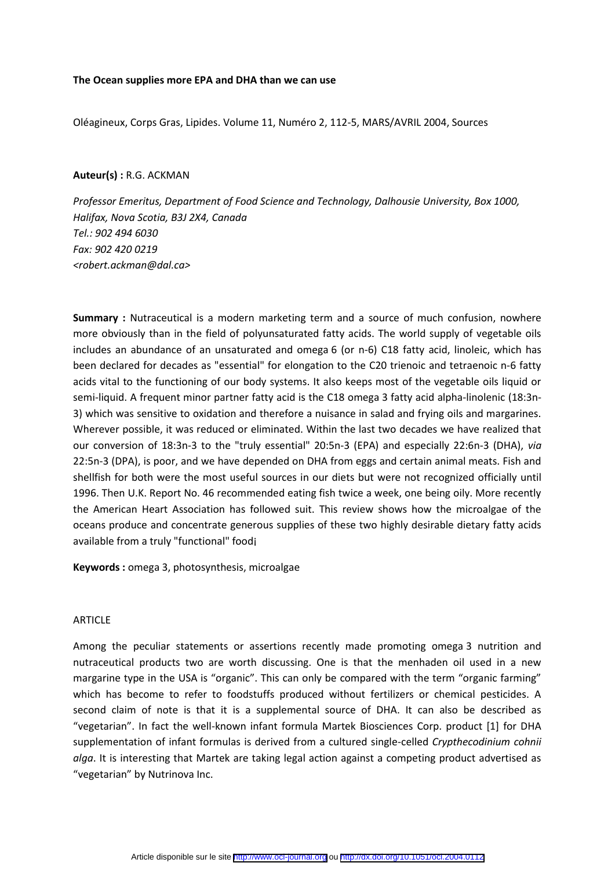### **The Ocean supplies more EPA and DHA than we can use**

Oléagineux, Corps Gras, Lipides. Volume 11, Numéro 2, 112-5, MARS/AVRIL 2004, Sources

### **Auteur(s) :** R.G. ACKMAN

*Professor Emeritus, Department of Food Science and Technology, Dalhousie University, Box 1000, Halifax, Nova Scotia, B3J 2X4, Canada Tel.: 902 494 6030 Fax: 902 420 0219 <robert.ackman@dal.ca>*

**Summary :** Nutraceutical is a modern marketing term and a source of much confusion, nowhere more obviously than in the field of polyunsaturated fatty acids. The world supply of vegetable oils includes an abundance of an unsaturated and omega 6 (or n‐6) C18 fatty acid, linoleic, which has been declared for decades as "essential" for elongation to the C20 trienoic and tetraenoic n‐6 fatty acids vital to the functioning of our body systems. It also keeps most of the vegetable oils liquid or semi-liquid. A frequent minor partner fatty acid is the C18 omega 3 fatty acid alpha-linolenic (18:3n-3) which was sensitive to oxidation and therefore a nuisance in salad and frying oils and margarines. Wherever possible, it was reduced or eliminated. Within the last two decades we have realized that our conversion of 18:3n‐3 to the "truly essential" 20:5n‐3 (EPA) and especially 22:6n‐3 (DHA), *via* 22:5n‐3 (DPA), is poor, and we have depended on DHA from eggs and certain animal meats. Fish and shellfish for both were the most useful sources in our diets but were not recognized officially until 1996. Then U.K. Report No. 46 recommended eating fish twice a week, one being oily. More recently the American Heart Association has followed suit. This review shows how the microalgae of the oceans produce and concentrate generous supplies of these two highly desirable dietary fatty acids available from a truly "functional" food¡

**Keywords :** omega 3, photosynthesis, microalgae

## ARTICLE

Among the peculiar statements or assertions recently made promoting omega 3 nutrition and nutraceutical products two are worth discussing. One is that the menhaden oil used in a new margarine type in the USA is "organic". This can only be compared with the term "organic farming" which has become to refer to foodstuffs produced without fertilizers or chemical pesticides. A second claim of note is that it is a supplemental source of DHA. It can also be described as "vegetarian". In fact the well-known infant formula Martek Biosciences Corp. product [1] for DHA supplementation of infant formulas is derived from a cultured single-celled *Crypthecodinium cohnii alga*. It is interesting that Martek are taking legal action against a competing product advertised as "vegetarian" by Nutrinova Inc.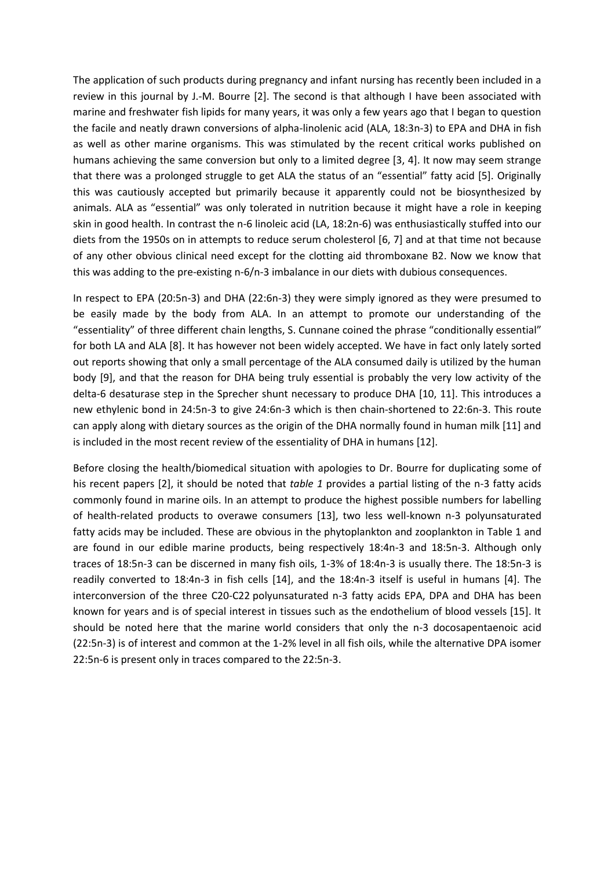The application of such products during pregnancy and infant nursing has recently been included in a review in this journal by J.-M. Bourre [2]. The second is that although I have been associated with marine and freshwater fish lipids for many years, it was only a few years ago that I began to question the facile and neatly drawn conversions of alpha-linolenic acid (ALA, 18:3n-3) to EPA and DHA in fish as well as other marine organisms. This was stimulated by the recent critical works published on humans achieving the same conversion but only to a limited degree [3, 4]. It now may seem strange that there was a prolonged struggle to get ALA the status of an "essential" fatty acid [5]. Originally this was cautiously accepted but primarily because it apparently could not be biosynthesized by animals. ALA as "essential" was only tolerated in nutrition because it might have a role in keeping skin in good health. In contrast the n-6 linoleic acid (LA, 18:2n-6) was enthusiastically stuffed into our diets from the 1950s on in attempts to reduce serum cholesterol [6, 7] and at that time not because of any other obvious clinical need except for the clotting aid thromboxane B2. Now we know that this was adding to the pre-existing n-6/n-3 imbalance in our diets with dubious consequences.

In respect to EPA (20:5n-3) and DHA (22:6n-3) they were simply ignored as they were presumed to be easily made by the body from ALA. In an attempt to promote our understanding of the "essentiality" of three different chain lengths, S. Cunnane coined the phrase "conditionally essential" for both LA and ALA [8]. It has however not been widely accepted. We have in fact only lately sorted out reports showing that only a small percentage of the ALA consumed daily is utilized by the human body [9], and that the reason for DHA being truly essential is probably the very low activity of the delta-6 desaturase step in the Sprecher shunt necessary to produce DHA [10, 11]. This introduces a new ethylenic bond in 24:5n-3 to give 24:6n-3 which is then chain-shortened to 22:6n-3. This route can apply along with dietary sources as the origin of the DHA normally found in human milk [11] and is included in the most recent review of the essentiality of DHA in humans [12].

Before closing the health/biomedical situation with apologies to Dr. Bourre for duplicating some of his recent papers [2], it should be noted that *table 1* provides a partial listing of the n-3 fatty acids commonly found in marine oils. In an attempt to produce the highest possible numbers for labelling of health-related products to overawe consumers [13], two less well-known n-3 polyunsaturated fatty acids may be included. These are obvious in the phytoplankton and zooplankton in Table 1 and are found in our edible marine products, being respectively 18:4n-3 and 18:5n-3. Although only traces of 18:5n-3 can be discerned in many fish oils, 1-3% of 18:4n-3 is usually there. The 18:5n-3 is readily converted to 18:4n-3 in fish cells [14], and the 18:4n-3 itself is useful in humans [4]. The interconversion of the three C20-C22 polyunsaturated n-3 fatty acids EPA, DPA and DHA has been known for years and is of special interest in tissues such as the endothelium of blood vessels [15]. It should be noted here that the marine world considers that only the n-3 docosapentaenoic acid (22:5n-3) is of interest and common at the 1-2% level in all fish oils, while the alternative DPA isomer 22:5n-6 is present only in traces compared to the 22:5n-3.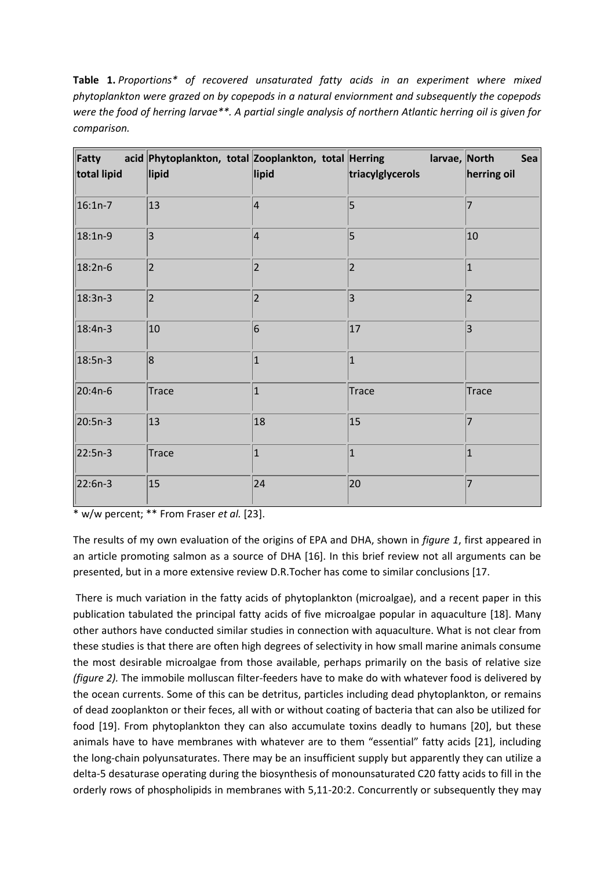**Table 1.** *Proportions\* of recovered unsaturated fatty acids in an experiment where mixed phytoplankton were grazed on by copepods in a natural enviornment and subsequently the copepods were the food of herring larvae\*\*. A partial single analysis of northern Atlantic herring oil is given for comparison.*

| Fatty<br>total lipid | acid Phytoplankton, total Zooplankton, total Herring<br>lipid | lipid          | larvae, North<br>triacylglycerols | Sea<br>herring oil |
|----------------------|---------------------------------------------------------------|----------------|-----------------------------------|--------------------|
| $16:1n-7$            | 13                                                            | $\overline{4}$ | 5                                 | 7                  |
| $18:1n-9$            | $ 3\rangle$                                                   | $\vert$ 4      | 5                                 | 10                 |
| $18:2n-6$            | 2                                                             | 2              | 2                                 | $\mathbf{1}$       |
| $18:3n-3$            | 2                                                             | 2              | 3                                 | $\overline{2}$     |
| $18:4n-3$            | 10                                                            | $\overline{6}$ | 17                                | 3                  |
| $18:5n-3$            | 8                                                             | $\mathbf{1}$   | 1                                 |                    |
| 20:4n-6              | Trace                                                         | $\overline{1}$ | Trace                             | Trace              |
| 20:5n-3              | 13                                                            | 18             | 15                                |                    |
| 22:5n-3              | Trace                                                         | $\vert$ 1      | 1                                 | $\vert$ 1          |
| 22:6n-3              | 15                                                            | 24             | 20                                | 7                  |

\* w/w percent; \*\* From Fraser *et al.* [23].

The results of my own evaluation of the origins of EPA and DHA, shown in *figure 1*, first appeared in an article promoting salmon as a source of DHA [16]. In this brief review not all arguments can be presented, but in a more extensive review D.R.Tocher has come to similar conclusions [17.

There is much variation in the fatty acids of phytoplankton (microalgae), and a recent paper in this publication tabulated the principal fatty acids of five microalgae popular in aquaculture [18]. Many other authors have conducted similar studies in connection with aquaculture. What is not clear from these studies is that there are often high degrees of selectivity in how small marine animals consume the most desirable microalgae from those available, perhaps primarily on the basis of relative size *(figure 2).* The immobile molluscan filter-feeders have to make do with whatever food is delivered by the ocean currents. Some of this can be detritus, particles including dead phytoplankton, or remains of dead zooplankton or their feces, all with or without coating of bacteria that can also be utilized for food [19]. From phytoplankton they can also accumulate toxins deadly to humans [20], but these animals have to have membranes with whatever are to them "essential" fatty acids [21], including the long-chain polyunsaturates. There may be an insufficient supply but apparently they can utilize a delta-5 desaturase operating during the biosynthesis of monounsaturated C20 fatty acids to fill in the orderly rows of phospholipids in membranes with 5,11-20:2. Concurrently or subsequently they may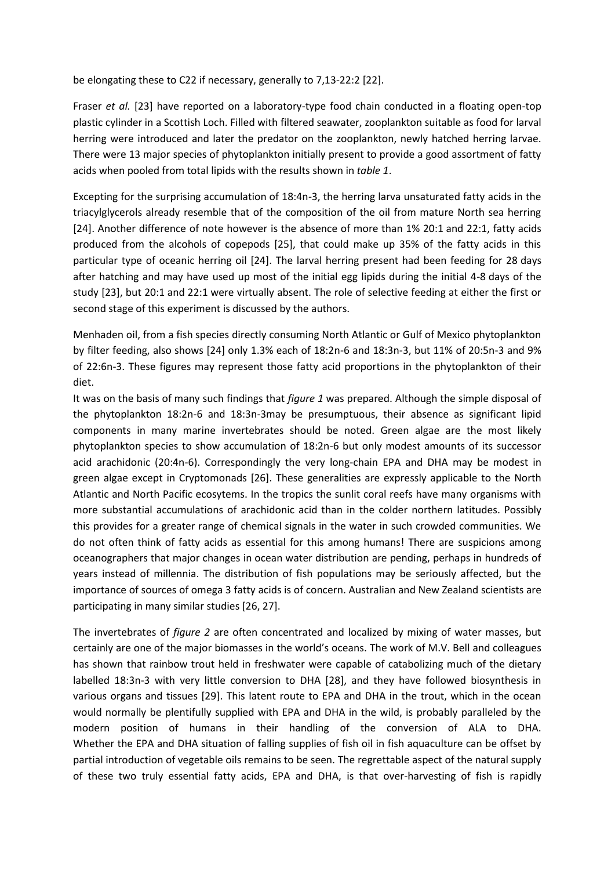be elongating these to C22 if necessary, generally to 7,13-22:2 [22].

Fraser *et al.* [23] have reported on a laboratory-type food chain conducted in a floating open-top plastic cylinder in a Scottish Loch. Filled with filtered seawater, zooplankton suitable as food for larval herring were introduced and later the predator on the zooplankton, newly hatched herring larvae. There were 13 major species of phytoplankton initially present to provide a good assortment of fatty acids when pooled from total lipids with the results shown in *table 1*.

Excepting for the surprising accumulation of 18:4n-3, the herring larva unsaturated fatty acids in the triacylglycerols already resemble that of the composition of the oil from mature North sea herring [24]. Another difference of note however is the absence of more than 1% 20:1 and 22:1, fatty acids produced from the alcohols of copepods [25], that could make up 35% of the fatty acids in this particular type of oceanic herring oil [24]. The larval herring present had been feeding for 28 days after hatching and may have used up most of the initial egg lipids during the initial 4-8 days of the study [23], but 20:1 and 22:1 were virtually absent. The role of selective feeding at either the first or second stage of this experiment is discussed by the authors.

Menhaden oil, from a fish species directly consuming North Atlantic or Gulf of Mexico phytoplankton by filter feeding, also shows [24] only 1.3% each of 18:2n-6 and 18:3n-3, but 11% of 20:5n-3 and 9% of 22:6n-3. These figures may represent those fatty acid proportions in the phytoplankton of their diet.

It was on the basis of many such findings that *figure 1* was prepared. Although the simple disposal of the phytoplankton 18:2n-6 and 18:3n-3may be presumptuous, their absence as significant lipid components in many marine invertebrates should be noted. Green algae are the most likely phytoplankton species to show accumulation of 18:2n-6 but only modest amounts of its successor acid arachidonic (20:4n-6). Correspondingly the very long-chain EPA and DHA may be modest in green algae except in Cryptomonads [26]. These generalities are expressly applicable to the North Atlantic and North Pacific ecosytems. In the tropics the sunlit coral reefs have many organisms with more substantial accumulations of arachidonic acid than in the colder northern latitudes. Possibly this provides for a greater range of chemical signals in the water in such crowded communities. We do not often think of fatty acids as essential for this among humans! There are suspicions among oceanographers that major changes in ocean water distribution are pending, perhaps in hundreds of years instead of millennia. The distribution of fish populations may be seriously affected, but the importance of sources of omega 3 fatty acids is of concern. Australian and New Zealand scientists are participating in many similar studies [26, 27].

The invertebrates of *figure 2* are often concentrated and localized by mixing of water masses, but certainly are one of the major biomasses in the world's oceans. The work of M.V. Bell and colleagues has shown that rainbow trout held in freshwater were capable of catabolizing much of the dietary labelled 18:3n-3 with very little conversion to DHA [28], and they have followed biosynthesis in various organs and tissues [29]. This latent route to EPA and DHA in the trout, which in the ocean would normally be plentifully supplied with EPA and DHA in the wild, is probably paralleled by the modern position of humans in their handling of the conversion of ALA to DHA. Whether the EPA and DHA situation of falling supplies of fish oil in fish aquaculture can be offset by partial introduction of vegetable oils remains to be seen. The regrettable aspect of the natural supply of these two truly essential fatty acids, EPA and DHA, is that over-harvesting of fish is rapidly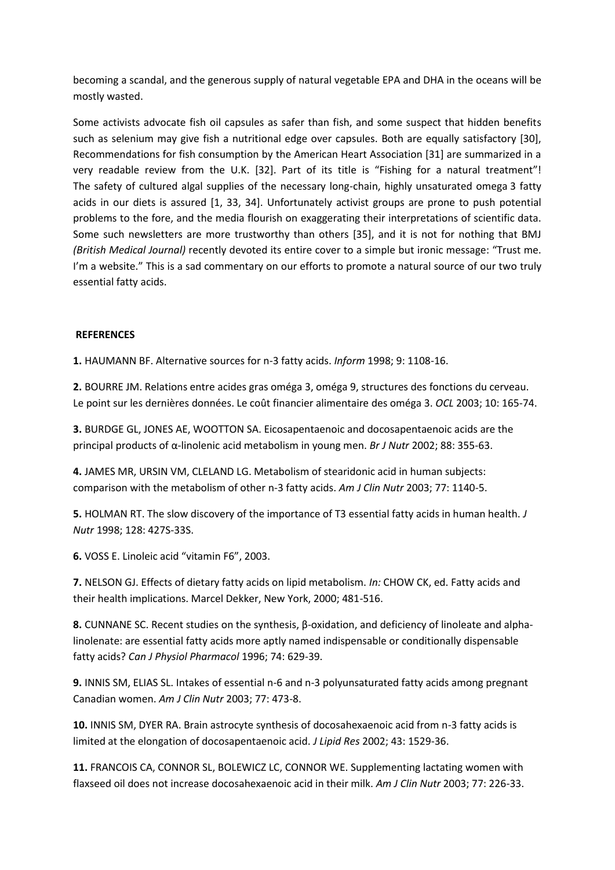becoming a scandal, and the generous supply of natural vegetable EPA and DHA in the oceans will be mostly wasted.

Some activists advocate fish oil capsules as safer than fish, and some suspect that hidden benefits such as selenium may give fish a nutritional edge over capsules. Both are equally satisfactory [30], Recommendations for fish consumption by the American Heart Association [31] are summarized in a very readable review from the U.K. [32]. Part of its title is "Fishing for a natural treatment"! The safety of cultured algal supplies of the necessary long-chain, highly unsaturated omega 3 fatty acids in our diets is assured [1, 33, 34]. Unfortunately activist groups are prone to push potential problems to the fore, and the media flourish on exaggerating their interpretations of scientific data. Some such newsletters are more trustworthy than others [35], and it is not for nothing that BMJ *(British Medical Journal)* recently devoted its entire cover to a simple but ironic message: "Trust me. I'm a website." This is a sad commentary on our efforts to promote a natural source of our two truly essential fatty acids.

# **REFERENCES**

**1.** HAUMANN BF. Alternative sources for n-3 fatty acids. *Inform* 1998; 9: 1108-16.

**2.** BOURRE JM. Relations entre acides gras oméga 3, oméga 9, structures des fonctions du cerveau. Le point sur les dernières données. Le coût financier alimentaire des oméga 3. *OCL* 2003; 10: 165-74.

**3.** BURDGE GL, JONES AE, WOOTTON SA. Eicosapentaenoic and docosapentaenoic acids are the principal products of α-linolenic acid metabolism in young men. *Br J Nutr* 2002; 88: 355-63.

**4.** JAMES MR, URSIN VM, CLELAND LG. Metabolism of stearidonic acid in human subjects: comparison with the metabolism of other n-3 fatty acids. *Am J Clin Nutr* 2003; 77: 1140-5.

**5.** HOLMAN RT. The slow discovery of the importance of T3 essential fatty acids in human health. *J Nutr* 1998; 128: 427S-33S.

**6.** VOSS E. Linoleic acid "vitamin F6", 2003.

**7.** NELSON GJ. Effects of dietary fatty acids on lipid metabolism. *In:* CHOW CK, ed. Fatty acids and their health implications. Marcel Dekker, New York, 2000; 481-516.

**8.** CUNNANE SC. Recent studies on the synthesis, β-oxidation, and deficiency of linoleate and alphalinolenate: are essential fatty acids more aptly named indispensable or conditionally dispensable fatty acids? *Can J Physiol Pharmacol* 1996; 74: 629-39.

**9.** INNIS SM, ELIAS SL. Intakes of essential n-6 and n-3 polyunsaturated fatty acids among pregnant Canadian women. *Am J Clin Nutr* 2003; 77: 473-8.

**10.** INNIS SM, DYER RA. Brain astrocyte synthesis of docosahexaenoic acid from n-3 fatty acids is limited at the elongation of docosapentaenoic acid. *J Lipid Res* 2002; 43: 1529-36.

**11.** FRANCOIS CA, CONNOR SL, BOLEWICZ LC, CONNOR WE. Supplementing lactating women with flaxseed oil does not increase docosahexaenoic acid in their milk. *Am J Clin Nutr* 2003; 77: 226-33.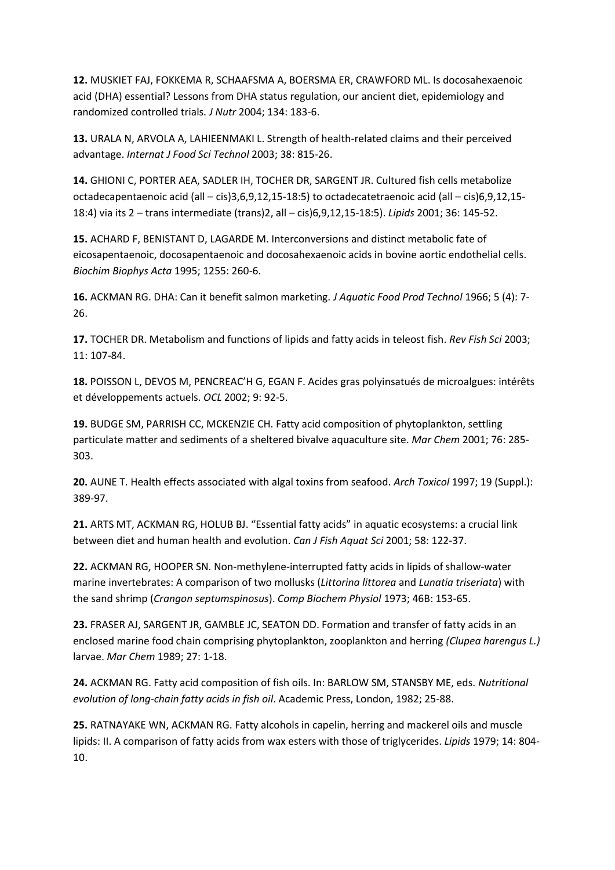**12.** MUSKIET FAJ, FOKKEMA R, SCHAAFSMA A, BOERSMA ER, CRAWFORD ML. Is docosahexaenoic acid (DHA) essential? Lessons from DHA status regulation, our ancient diet, epidemiology and randomized controlled trials. *J Nutr* 2004; 134: 183-6.

**13.** URALA N, ARVOLA A, LAHIEENMAKI L. Strength of health-related claims and their perceived advantage. *Internat J Food Sci Technol* 2003; 38: 815-26.

**14.** GHIONI C, PORTER AEA, SADLER IH, TOCHER DR, SARGENT JR. Cultured fish cells metabolize octadecapentaenoic acid (all – cis)3,6,9,12,15-18:5) to octadecatetraenoic acid (all – cis)6,9,12,15- 18:4) via its 2 – trans intermediate (trans)2, all – cis)6,9,12,15-18:5). *Lipids* 2001; 36: 145-52.

**15.** ACHARD F, BENISTANT D, LAGARDE M. Interconversions and distinct metabolic fate of eicosapentaenoic, docosapentaenoic and docosahexaenoic acids in bovine aortic endothelial cells. *Biochim Biophys Acta* 1995; 1255: 260-6.

**16.** ACKMAN RG. DHA: Can it benefit salmon marketing. *J Aquatic Food Prod Technol* 1966; 5 (4): 7- 26.

**17.** TOCHER DR. Metabolism and functions of lipids and fatty acids in teleost fish. *Rev Fish Sci* 2003; 11: 107-84.

**18.** POISSON L, DEVOS M, PENCREAC'H G, EGAN F. Acides gras polyinsatués de microalgues: intérêts et développements actuels. *OCL* 2002; 9: 92-5.

**19.** BUDGE SM, PARRISH CC, MCKENZIE CH. Fatty acid composition of phytoplankton, settling particulate matter and sediments of a sheltered bivalve aquaculture site. *Mar Chem* 2001; 76: 285- 303.

**20.** AUNE T. Health effects associated with algal toxins from seafood. *Arch Toxicol* 1997; 19 (Suppl.): 389-97.

**21.** ARTS MT, ACKMAN RG, HOLUB BJ. "Essential fatty acids" in aquatic ecosystems: a crucial link between diet and human health and evolution. *Can J Fish Aquat Sci* 2001; 58: 122-37.

**22.** ACKMAN RG, HOOPER SN. Non-methylene-interrupted fatty acids in lipids of shallow-water marine invertebrates: A comparison of two mollusks (*Littorina littorea* and *Lunatia triseriata*) with the sand shrimp (*Crangon septumspinosus*). *Comp Biochem Physiol* 1973; 46B: 153-65.

**23.** FRASER AJ, SARGENT JR, GAMBLE JC, SEATON DD. Formation and transfer of fatty acids in an enclosed marine food chain comprising phytoplankton, zooplankton and herring *(Clupea harengus L.)* larvae. *Mar Chem* 1989; 27: 1-18.

**24.** ACKMAN RG. Fatty acid composition of fish oils. In: BARLOW SM, STANSBY ME, eds. *Nutritional evolution of long-chain fatty acids in fish oil*. Academic Press, London, 1982; 25-88.

**25.** RATNAYAKE WN, ACKMAN RG. Fatty alcohols in capelin, herring and mackerel oils and muscle lipids: II. A comparison of fatty acids from wax esters with those of triglycerides. *Lipids* 1979; 14: 804- 10.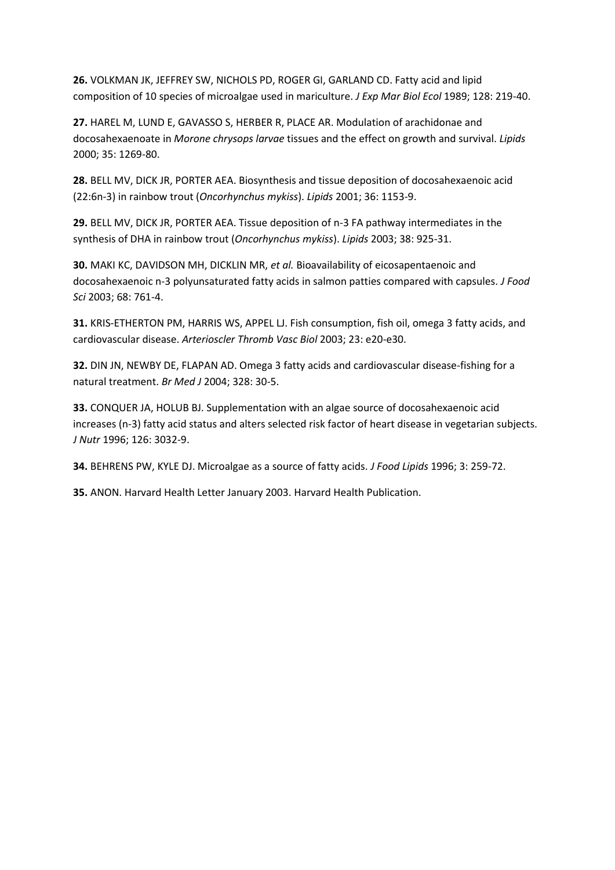**26.** VOLKMAN JK, JEFFREY SW, NICHOLS PD, ROGER GI, GARLAND CD. Fatty acid and lipid composition of 10 species of microalgae used in mariculture. *J Exp Mar Biol Ecol* 1989; 128: 219-40.

**27.** HAREL M, LUND E, GAVASSO S, HERBER R, PLACE AR. Modulation of arachidonae and docosahexaenoate in *Morone chrysops larvae* tissues and the effect on growth and survival. *Lipids* 2000; 35: 1269-80.

**28.** BELL MV, DICK JR, PORTER AEA. Biosynthesis and tissue deposition of docosahexaenoic acid (22:6n-3) in rainbow trout (*Oncorhynchus mykiss*). *Lipids* 2001; 36: 1153-9.

**29.** BELL MV, DICK JR, PORTER AEA. Tissue deposition of n-3 FA pathway intermediates in the synthesis of DHA in rainbow trout (*Oncorhynchus mykiss*). *Lipids* 2003; 38: 925-31.

**30.** MAKI KC, DAVIDSON MH, DICKLIN MR, *et al.* Bioavailability of eicosapentaenoic and docosahexaenoic n-3 polyunsaturated fatty acids in salmon patties compared with capsules. *J Food Sci* 2003; 68: 761-4.

**31.** KRIS-ETHERTON PM, HARRIS WS, APPEL LJ. Fish consumption, fish oil, omega 3 fatty acids, and cardiovascular disease. *Arterioscler Thromb Vasc Biol* 2003; 23: e20-e30.

**32.** DIN JN, NEWBY DE, FLAPAN AD. Omega 3 fatty acids and cardiovascular disease-fishing for a natural treatment. *Br Med J* 2004; 328: 30-5.

**33.** CONQUER JA, HOLUB BJ. Supplementation with an algae source of docosahexaenoic acid increases (n-3) fatty acid status and alters selected risk factor of heart disease in vegetarian subjects. *J Nutr* 1996; 126: 3032-9.

**34.** BEHRENS PW, KYLE DJ. Microalgae as a source of fatty acids. *J Food Lipids* 1996; 3: 259-72.

**35.** ANON. Harvard Health Letter January 2003. Harvard Health Publication.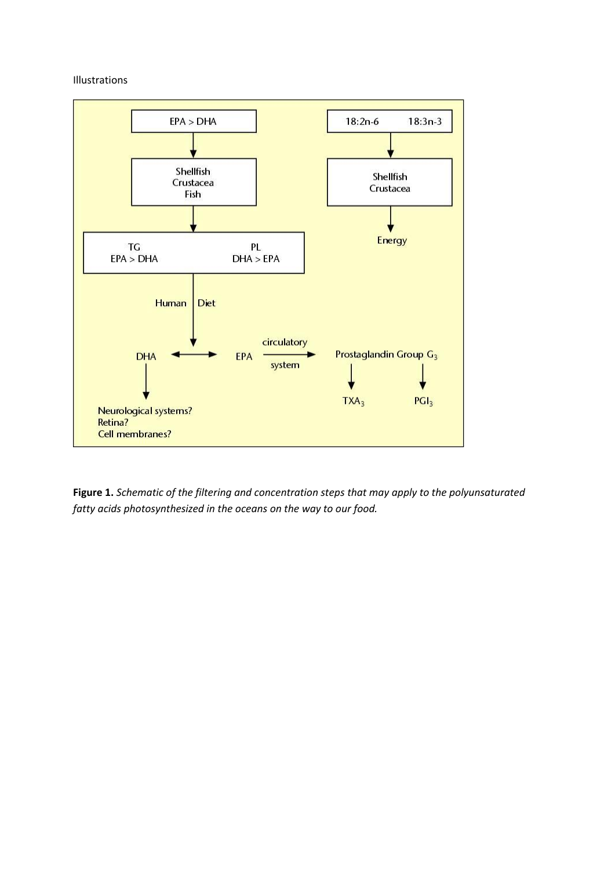# Illustrations



**Figure 1.** *Schematic of the filtering and concentration steps that may apply to the polyunsaturated fatty acids photosynthesized in the oceans on the way to our food.*